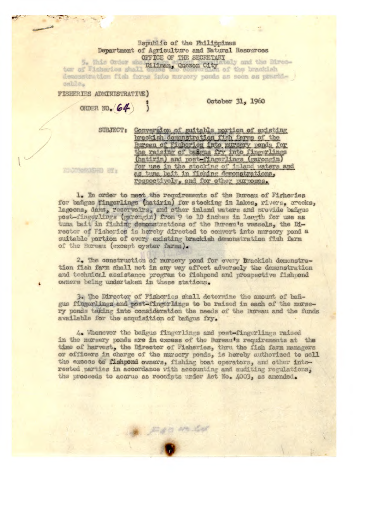Republic of the Philippines Department of Agriculture and Natural Resources OFFICE OF THE SECRETARY

tor of Fisherios shall cousing, Quezon City and the District of Tisherios shall could y and the Direcdemonstration fish farms into munery ponds an soon as practicable.

FISHERIES ADMINISTRATIVE)

ORDER NO. (64)

October 31, 1960

SUBJECT: Conversion of suitable portion of existing brackish demonstration fish farms of the Bureau of Fisheries into nursery ponds for<br>the raising of bağgus fry into fingerlings<br>(hatirin) and post-fingerlings (garongin) for use in the stocking of inland waters and as tuna bait in fishing demonstrations, respectively, and for other purposes.

HI CONSENTATION BE &

1. In order to meet the requirements of the Bureau of Fisheries for bangus fingerlings (hatirin) for stocking in lakes, rivers, creeks, lagoons, dams, reservoirs, and other inland waters and provide bañgus post-fingerlings (garengin) from 9 to 10 inches in length for use as tuna bait in fishing demonstrations of the Bureau's vessels, the Director of Fisheries is hereby directed to convert into nursery pond a suitable portion of every existing brackish demonstration fish farm of the Bureau (except oyster farms).

2. The construction of mursery pond for every brackish demonstration fish farm shall not in any way affect adversely the demonstration and technical assistance program to fishpond and prospective fishpond owners being undertaken in these stations.

3. The Director of Fisheries shall determine the amount of bañgus fingerlings and post-fingerlings to be raised in each of the mursery ponds taking into consideration the needs of the Bureau and the funds available for the acquisition of bangus fry.

4. Whenever the bangus fingerlings and post-fingerlings raised in the mursery ponds are in excess of the Bureau's requirements at the time of harvest, the Director of Fisheries, thru the fish farm managers or officers in charge of the nursery ponds, is hereby authorized to sell the excess to fishpond owners, fishing boat operators, and other interested parties in accordance with accounting and auditing regulations, the proceeds to accrue as receipts under Act No. 4003, as amended.